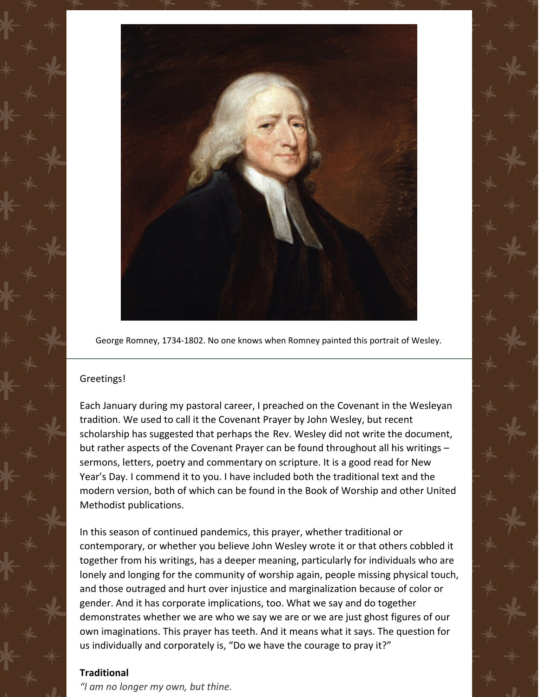

George Romney, 1734-1802. No one knows when Romney painted this portrait of Wesley.

## Greetings!

Each January during my pastoral career, I preached on the Covenant in the Wesleyan tradition. We used to call it the Covenant Prayer by John Wesley, but recent scholarship has suggested that perhaps the Rev. Wesley did not write the document, but rather aspects of the Covenant Prayer can be found throughout all his writings – sermons, letters, poetry and commentary on scripture. It is a good read for New Year's Day. I commend it to you. I have included both the traditional text and the modern version, both of which can be found in the Book of Worship and other United Methodist publications.

In this season of continued pandemics, this prayer, whether traditional or contemporary, or whether you believe John Wesley wrote it or that others cobbled it together from his writings, has a deeper meaning, particularly for individuals who are lonely and longing for the community of worship again, people missing physical touch, and those outraged and hurt over injustice and marginalization because of color or gender. And it has corporate implications, too. What we say and do together demonstrates whether we are who we say we are or we are just ghost figures of our own imaginations. This prayer has teeth. And it means what it says. The question for us individually and corporately is, "Do we have the courage to pray it?"

## **Traditional**

*"I am no longer my own, but thine.*